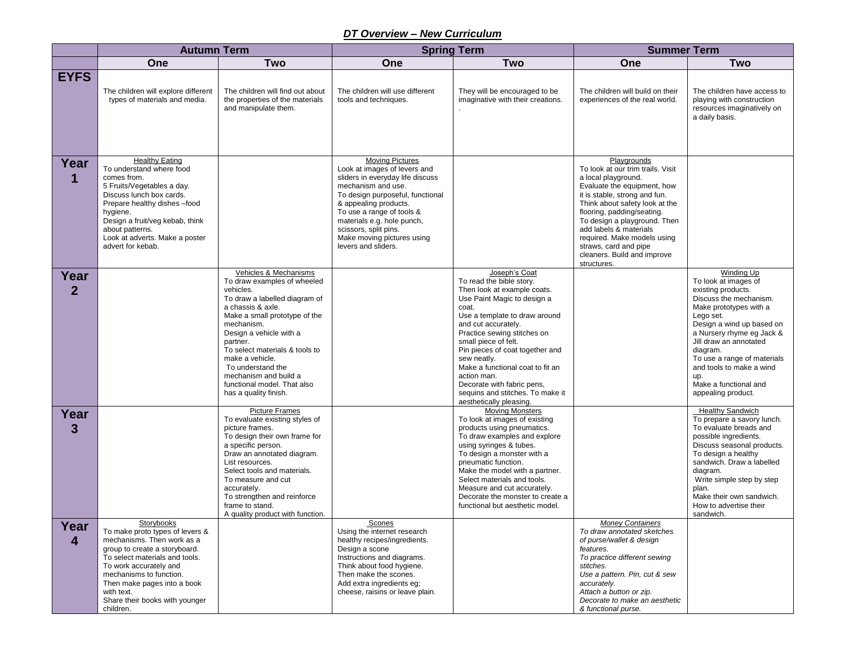## *DT Overview – New Curriculum*

|                        | <b>Autumn Term</b>                                                                                                                                                                                                                                                                              |                                                                                                                                                                                                                                                                                                                                                                          | <b>Spring Term</b>                                                                                                                                                                                                                                                                                                     |                                                                                                                                                                                                                                                                                                                                                                                                                                   | <b>Summer Term</b>                                                                                                                                                                                                                                                                                                                                                      |                                                                                                                                                                                                                                                                                                                                            |
|------------------------|-------------------------------------------------------------------------------------------------------------------------------------------------------------------------------------------------------------------------------------------------------------------------------------------------|--------------------------------------------------------------------------------------------------------------------------------------------------------------------------------------------------------------------------------------------------------------------------------------------------------------------------------------------------------------------------|------------------------------------------------------------------------------------------------------------------------------------------------------------------------------------------------------------------------------------------------------------------------------------------------------------------------|-----------------------------------------------------------------------------------------------------------------------------------------------------------------------------------------------------------------------------------------------------------------------------------------------------------------------------------------------------------------------------------------------------------------------------------|-------------------------------------------------------------------------------------------------------------------------------------------------------------------------------------------------------------------------------------------------------------------------------------------------------------------------------------------------------------------------|--------------------------------------------------------------------------------------------------------------------------------------------------------------------------------------------------------------------------------------------------------------------------------------------------------------------------------------------|
|                        | One                                                                                                                                                                                                                                                                                             | <b>Two</b>                                                                                                                                                                                                                                                                                                                                                               | One                                                                                                                                                                                                                                                                                                                    | <b>Two</b>                                                                                                                                                                                                                                                                                                                                                                                                                        | One                                                                                                                                                                                                                                                                                                                                                                     | <b>Two</b>                                                                                                                                                                                                                                                                                                                                 |
| <b>EYFS</b>            | The children will explore different<br>types of materials and media.                                                                                                                                                                                                                            | The children will find out about<br>the properties of the materials<br>and manipulate them.                                                                                                                                                                                                                                                                              | The children will use different<br>tools and techniques.                                                                                                                                                                                                                                                               | They will be encouraged to be<br>imaginative with their creations.                                                                                                                                                                                                                                                                                                                                                                | The children will build on their<br>experiences of the real world.                                                                                                                                                                                                                                                                                                      | The children have access to<br>playing with construction<br>resources imaginatively on<br>a daily basis.                                                                                                                                                                                                                                   |
| Year<br>1              | <b>Healthy Eating</b><br>To understand where food<br>comes from.<br>5 Fruits/Vegetables a day.<br>Discuss lunch box cards.<br>Prepare healthy dishes -food<br>hygiene.<br>Design a fruit/veg kebab, think<br>about patterns.<br>Look at adverts. Make a poster<br>advert for kebab.             |                                                                                                                                                                                                                                                                                                                                                                          | <b>Moving Pictures</b><br>Look at images of levers and<br>sliders in everyday life discuss<br>mechanism and use.<br>To design purposeful, functional<br>& appealing products.<br>To use a range of tools &<br>materials e.g. hole punch,<br>scissors, split pins.<br>Make moving pictures using<br>levers and sliders. |                                                                                                                                                                                                                                                                                                                                                                                                                                   | Playgrounds<br>To look at our trim trails. Visit<br>a local playground.<br>Evaluate the equipment, how<br>it is stable, strong and fun.<br>Think about safety look at the<br>flooring, padding/seating.<br>To design a playground. Then<br>add labels & materials<br>required. Make models using<br>straws, card and pipe<br>cleaners. Build and improve<br>structures. |                                                                                                                                                                                                                                                                                                                                            |
| Year<br>$\overline{2}$ |                                                                                                                                                                                                                                                                                                 | Vehicles & Mechanisms<br>To draw examples of wheeled<br>vehicles.<br>To draw a labelled diagram of<br>a chassis & axle.<br>Make a small prototype of the<br>mechanism.<br>Design a vehicle with a<br>partner.<br>To select materials & tools to<br>make a vehicle.<br>To understand the<br>mechanism and build a<br>functional model. That also<br>has a quality finish. |                                                                                                                                                                                                                                                                                                                        | Joseph's Coat<br>To read the bible story.<br>Then look at example coats.<br>Use Paint Magic to design a<br>coat.<br>Use a template to draw around<br>and cut accurately.<br>Practice sewing stitches on<br>small piece of felt.<br>Pin pieces of coat together and<br>sew neatly.<br>Make a functional coat to fit an<br>action man.<br>Decorate with fabric pens,<br>sequins and stitches. To make it<br>aesthetically pleasing. |                                                                                                                                                                                                                                                                                                                                                                         | Winding Up<br>To look at images of<br>existing products.<br>Discuss the mechanism.<br>Make prototypes with a<br>Lego set.<br>Design a wind up based on<br>a Nursery rhyme eg Jack &<br>Jill draw an annotated<br>diagram.<br>To use a range of materials<br>and tools to make a wind<br>up.<br>Make a functional and<br>appealing product. |
| Year<br>3              |                                                                                                                                                                                                                                                                                                 | <b>Picture Frames</b><br>To evaluate existing styles of<br>picture frames.<br>To design their own frame for<br>a specific person.<br>Draw an annotated diagram.<br>List resources.<br>Select tools and materials.<br>To measure and cut<br>accurately.<br>To strengthen and reinforce<br>frame to stand.<br>A quality product with function.                             |                                                                                                                                                                                                                                                                                                                        | <b>Moving Monsters</b><br>To look at images of existing<br>products using pneumatics.<br>To draw examples and explore<br>using syringes & tubes.<br>To design a monster with a<br>pneumatic function.<br>Make the model with a partner.<br>Select materials and tools.<br>Measure and cut accurately.<br>Decorate the monster to create a<br>functional but aesthetic model.                                                      |                                                                                                                                                                                                                                                                                                                                                                         | <b>Healthy Sandwich</b><br>To prepare a savory lunch.<br>To evaluate breads and<br>possible ingredients.<br>Discuss seasonal products.<br>To design a healthy<br>sandwich. Draw a labelled<br>diagram.<br>Write simple step by step<br>plan.<br>Make their own sandwich.<br>How to advertise their<br>sandwich.                            |
| Year<br>4              | Storybooks<br>To make proto types of levers &<br>mechanisms. Then work as a<br>group to create a storyboard.<br>To select materials and tools.<br>To work accurately and<br>mechanisms to function.<br>Then make pages into a book<br>with text.<br>Share their books with younger<br>children. |                                                                                                                                                                                                                                                                                                                                                                          | Scones<br>Using the internet research<br>healthy recipes/ingredients.<br>Design a scone<br>Instructions and diagrams.<br>Think about food hygiene.<br>Then make the scones.<br>Add extra ingredients eg;<br>cheese, raisins or leave plain.                                                                            |                                                                                                                                                                                                                                                                                                                                                                                                                                   | <b>Money Containers</b><br>To draw annotated sketches<br>of purse/wallet & design<br>features.<br>To practice different sewing<br>stitches.<br>Use a pattern. Pin, cut & sew<br>accurately.<br>Attach a button or zip.<br>Decorate to make an aesthetic<br>& functional purse.                                                                                          |                                                                                                                                                                                                                                                                                                                                            |